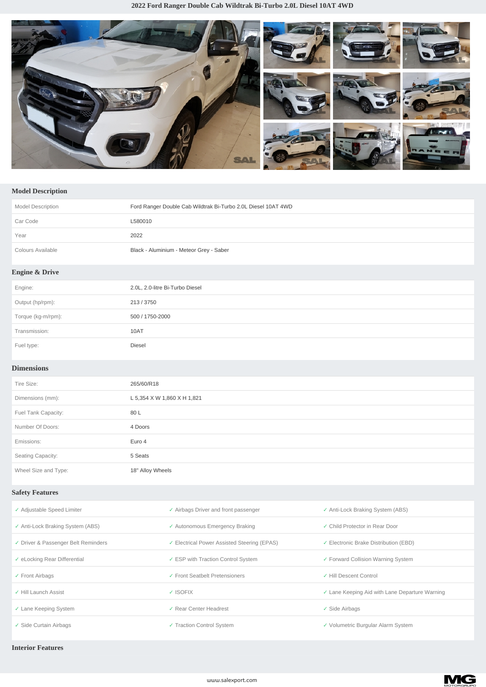

## **Model Description**

| <b>Model Description</b>  | Ford Ranger Double Cab Wildtrak Bi-Turbo 2.0L Diesel 10AT 4WD |
|---------------------------|---------------------------------------------------------------|
| Car Code                  | L580010                                                       |
| Year                      | 2022                                                          |
| Colours Available         | Black - Aluminium - Meteor Grey - Saber                       |
| <b>Engine &amp; Drive</b> |                                                               |
| Engine:                   | 2.0L, 2.0-litre Bi-Turbo Diesel                               |
| Output (hp/rpm):          | 213 / 3750                                                    |
| Torque (kg-m/rpm):        | 500 / 1750-2000                                               |
| Transmission:             | 10AT                                                          |
| Fuel type:                | Diesel                                                        |

## **Dimensions**

| Tire Size:           | 265/60/R18                  |
|----------------------|-----------------------------|
| Dimensions (mm):     | L 5,354 X W 1,860 X H 1,821 |
| Fuel Tank Capacity:  | 80L                         |
| Number Of Doors:     | 4 Doors                     |
| Emissions:           | Euro 4                      |
| Seating Capacity:    | 5 Seats                     |
| Wheel Size and Type: | 18" Alloy Wheels            |

## **Safety Features**

| ✓ Adjustable Speed Limiter          | ✓ Airbags Driver and front passenger        | ✓ Anti-Lock Braking System (ABS)                 |
|-------------------------------------|---------------------------------------------|--------------------------------------------------|
| ✓ Anti-Lock Braking System (ABS)    | ✓ Autonomous Emergency Braking              | ✓ Child Protector in Rear Door                   |
| ✓ Driver & Passenger Belt Reminders | ✓ Electrical Power Assisted Steering (EPAS) | $\checkmark$ Electronic Brake Distribution (EBD) |
| ✓ eLocking Rear Differential        | ✓ ESP with Traction Control System          | ✓ Forward Collision Warning System               |
| $\checkmark$ Front Airbags          | ✓ Front Seatbelt Pretensioners              | ✓ Hill Descent Control                           |
| ✓ Hill Launch Assist                | ✓ ISOFIX                                    | Lane Keeping Aid with Lane Departure Warning     |
| ✓ Lane Keeping System               | ✓ Rear Center Headrest                      | $\checkmark$ Side Airbags                        |
| ✓ Side Curtain Airbags              | ✓ Traction Control System                   | ✓ Volumetric Burgular Alarm System               |

## **Interior Features**